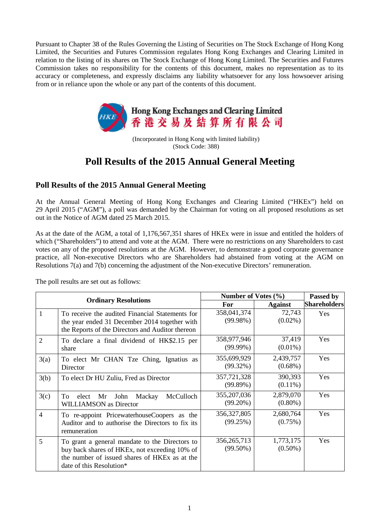Pursuant to Chapter 38 of the Rules Governing the Listing of Securities on The Stock Exchange of Hong Kong Limited, the Securities and Futures Commission regulates Hong Kong Exchanges and Clearing Limited in relation to the listing of its shares on The Stock Exchange of Hong Kong Limited. The Securities and Futures Commission takes no responsibility for the contents of this document, makes no representation as to its accuracy or completeness, and expressly disclaims any liability whatsoever for any loss howsoever arising from or in reliance upon the whole or any part of the contents of this document.



(Incorporated in Hong Kong with limited liability) (Stock Code: 388)

## **Poll Results of the 2015 Annual General Meeting**

## **Poll Results of the 2015 Annual General Meeting**

At the Annual General Meeting of Hong Kong Exchanges and Clearing Limited ("HKEx") held on 29 April 2015 ("AGM"), a poll was demanded by the Chairman for voting on all proposed resolutions as set out in the Notice of AGM dated 25 March 2015.

As at the date of the AGM, a total of 1,176,567,351 shares of HKEx were in issue and entitled the holders of which ("Shareholders") to attend and vote at the AGM. There were no restrictions on any Shareholders to cast votes on any of the proposed resolutions at the AGM. However, to demonstrate a good corporate governance practice, all Non-executive Directors who are Shareholders had abstained from voting at the AGM on Resolutions 7(a) and 7(b) concerning the adjustment of the Non-executive Directors' remuneration.

The poll results are set out as follows:

| <b>Ordinary Resolutions</b> |                                                                                                                                                                                          | Number of Votes (%)          |                         | Passed by           |
|-----------------------------|------------------------------------------------------------------------------------------------------------------------------------------------------------------------------------------|------------------------------|-------------------------|---------------------|
|                             |                                                                                                                                                                                          | For                          | <b>Against</b>          | <b>Shareholders</b> |
| 1                           | To receive the audited Financial Statements for<br>the year ended 31 December 2014 together with<br>the Reports of the Directors and Auditor thereon                                     | 358,041,374<br>$(99.98\%)$   | 72,743<br>$(0.02\%)$    | <b>Yes</b>          |
| $\overline{2}$              | To declare a final dividend of HK\$2.15 per<br>share                                                                                                                                     | 358,977,946<br>$(99.99\%)$   | 37,419<br>$(0.01\%)$    | Yes                 |
| 3(a)                        | To elect Mr CHAN Tze Ching, Ignatius as<br>Director                                                                                                                                      | 355,699,929<br>$(99.32\%)$   | 2,439,757<br>$(0.68\%)$ | Yes                 |
| 3(b)                        | To elect Dr HU Zuliu, Fred as Director                                                                                                                                                   | 357,721,328<br>(99.89%)      | 390,393<br>$(0.11\%)$   | Yes                 |
| 3(c)                        | McCulloch<br>Mr<br>John<br>Mackay<br>Tо<br>elect<br><b>WILLIAMSON</b> as Director                                                                                                        | 355, 207, 036<br>$(99.20\%)$ | 2,879,070<br>$(0.80\%)$ | Yes                 |
| $\overline{4}$              | To re-appoint PricewaterhouseCoopers as the<br>Auditor and to authorise the Directors to fix its<br>remuneration                                                                         | 356, 327, 805<br>(99.25%)    | 2,680,764<br>$(0.75\%)$ | Yes                 |
| 5                           | To grant a general mandate to the Directors to<br>buy back shares of HKEx, not exceeding 10% of<br>the number of issued shares of HKE <sub>x</sub> as at the<br>date of this Resolution* | 356, 265, 713<br>$(99.50\%)$ | 1,773,175<br>$(0.50\%)$ | Yes                 |